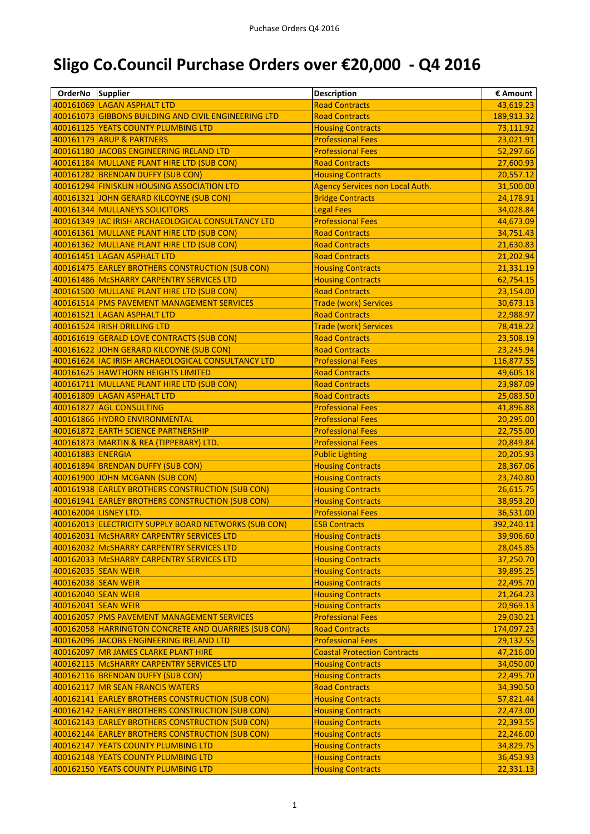## **Sligo Co.Council Purchase Orders over €20,000 - Q4 2016**

| OrderNo Supplier                           |                                                                                         | <b>Description</b>                                   | € Amount               |
|--------------------------------------------|-----------------------------------------------------------------------------------------|------------------------------------------------------|------------------------|
|                                            | 400161069 LAGAN ASPHALT LTD                                                             | <b>Road Contracts</b>                                | 43,619.23              |
|                                            | 400161073 GIBBONS BUILDING AND CIVIL ENGINEERING LTD                                    | <b>Road Contracts</b>                                | 189,913.32             |
|                                            | 400161125 YEATS COUNTY PLUMBING LTD                                                     | <b>Housing Contracts</b>                             | 73,111.92              |
|                                            | 400161179 ARUP & PARTNERS                                                               | <b>Professional Fees</b>                             | 23,021.91              |
|                                            | 400161180 JACOBS ENGINEERING IRELAND LTD                                                | <b>Professional Fees</b>                             | 52,297.66              |
|                                            | 400161184 MULLANE PLANT HIRE LTD (SUB CON)                                              | <b>Road Contracts</b>                                | 27,600.93              |
|                                            | 400161282 BRENDAN DUFFY (SUB CON)                                                       | <b>Housing Contracts</b>                             | 20,557.12              |
|                                            | 400161294 FINISKLIN HOUSING ASSOCIATION LTD                                             | <b>Agency Services non Local Auth.</b>               | 31,500.00              |
|                                            | 400161321 JOHN GERARD KILCOYNE (SUB CON)                                                | <b>Bridge Contracts</b>                              | 24,178.91              |
|                                            | 400161344 MULLANEYS SOLICITORS                                                          | <b>Legal Fees</b>                                    | 34,028.84              |
|                                            | 400161349   IAC IRISH ARCHAEOLOGICAL CONSULTANCY LTD                                    | <b>Professional Fees</b>                             | 44,673.09              |
|                                            | 400161361 MULLANE PLANT HIRE LTD (SUB CON)                                              | <b>Road Contracts</b>                                | 34,751.43              |
|                                            | 400161362 MULLANE PLANT HIRE LTD (SUB CON)                                              | <b>Road Contracts</b>                                | 21,630.83              |
|                                            | 400161451 LAGAN ASPHALT LTD                                                             | <b>Road Contracts</b>                                | 21,202.94              |
|                                            | 400161475 EARLEY BROTHERS CONSTRUCTION (SUB CON)                                        | <b>Housing Contracts</b>                             | 21,331.19              |
|                                            | 400161486 McSHARRY CARPENTRY SERVICES LTD                                               | <b>Housing Contracts</b>                             | 62,754.15              |
|                                            | 400161500 MULLANE PLANT HIRE LTD (SUB CON)                                              | <b>Road Contracts</b>                                | 23,154.00              |
|                                            | 400161514 PMS PAVEMENT MANAGEMENT SERVICES                                              | <b>Trade (work) Services</b>                         | 30,673.13              |
|                                            | 400161521 LAGAN ASPHALT LTD                                                             | <b>Road Contracts</b>                                | 22,988.97              |
|                                            | 400161524  IRISH DRILLING LTD                                                           | <b>Trade (work) Services</b>                         | 78,418.22              |
|                                            | 400161619 GERALD LOVE CONTRACTS (SUB CON)                                               | <b>Road Contracts</b>                                | 23,508.19              |
|                                            | 400161622 JOHN GERARD KILCOYNE (SUB CON)                                                | <b>Road Contracts</b>                                | 23,245.94              |
|                                            | 400161624  IAC IRISH ARCHAEOLOGICAL CONSULTANCY LTD                                     | <b>Professional Fees</b>                             | 116,877.55             |
|                                            | 400161625 HAWTHORN HEIGHTS LIMITED                                                      | <b>Road Contracts</b>                                | 49,605.18              |
|                                            | 400161711 MULLANE PLANT HIRE LTD (SUB CON)                                              | <b>Road Contracts</b>                                | 23,987.09              |
|                                            | 400161809 LAGAN ASPHALT LTD                                                             | <b>Road Contracts</b>                                | 25,083.50              |
|                                            | 400161827 AGL CONSULTING                                                                | <b>Professional Fees</b>                             | 41,896.88              |
|                                            | 400161866 HYDRO ENVIRONMENTAL                                                           | <b>Professional Fees</b>                             | 20,295.00              |
|                                            |                                                                                         | <b>Professional Fees</b>                             |                        |
|                                            | 400161872 EARTH SCIENCE PARTNERSHIP<br>400161873 MARTIN & REA (TIPPERARY) LTD.          | <b>Professional Fees</b>                             | 22,755.00<br>20,849.84 |
| 400161883 ENERGIA                          |                                                                                         | <b>Public Lighting</b>                               | 20,205.93              |
|                                            | 400161894 BRENDAN DUFFY (SUB CON)                                                       | <b>Housing Contracts</b>                             | 28,367.06              |
|                                            | 400161900 JOHN MCGANN (SUB CON)                                                         | <b>Housing Contracts</b>                             | 23,740.80              |
|                                            | 400161938 EARLEY BROTHERS CONSTRUCTION (SUB CON)                                        | <b>Housing Contracts</b>                             | 26,615.75              |
|                                            | 400161941 EARLEY BROTHERS CONSTRUCTION (SUB CON)                                        | <b>Housing Contracts</b>                             | 38,953.20              |
|                                            | 400162004 LISNEY LTD.                                                                   | <b>Professional Fees</b>                             | 36,531.00              |
|                                            | 400162013 ELECTRICITY SUPPLY BOARD NETWORKS (SUB CON)                                   | <b>ESB Contracts</b>                                 | 392,240.11             |
|                                            | 400162031 McSHARRY CARPENTRY SERVICES LTD                                               | <b>Housing Contracts</b>                             | 39,906.60              |
|                                            | 400162032 McSHARRY CARPENTRY SERVICES LTD                                               | <b>Housing Contracts</b>                             | 28,045.85              |
|                                            | 400162033 McSHARRY CARPENTRY SERVICES LTD                                               |                                                      | 37,250.70              |
|                                            | 400162035 SEAN WEIR                                                                     | <b>Housing Contracts</b>                             | 39,895.25              |
| 400162038 SEAN WEIR                        |                                                                                         | <b>Housing Contracts</b>                             |                        |
|                                            |                                                                                         | <b>Housing Contracts</b>                             | 22,495.70              |
| 400162040 SEAN WEIR<br>400162041 SEAN WEIR |                                                                                         | <b>Housing Contracts</b>                             | 21,264.23              |
|                                            | 400162057 PMS PAVEMENT MANAGEMENT SERVICES                                              | <b>Housing Contracts</b><br><b>Professional Fees</b> | 20,969.13<br>29,030.21 |
|                                            | 400162058 HARRINGTON CONCRETE AND QUARRIES (SUB CON)                                    | <b>Road Contracts</b>                                | 174,097.23             |
|                                            | 400162096 JACOBS ENGINEERING IRELAND LTD                                                | <b>Professional Fees</b>                             | 29,132.55              |
|                                            | 400162097 MR JAMES CLARKE PLANT HIRE                                                    | <b>Coastal Protection Contracts</b>                  | 47,216.00              |
|                                            | 400162115   MCSHARRY CARPENTRY SERVICES LTD                                             |                                                      |                        |
|                                            | 400162116 BRENDAN DUFFY (SUB CON)                                                       | <b>Housing Contracts</b>                             | 34,050.00              |
|                                            | 400162117 MR SEAN FRANCIS WATERS                                                        | <b>Housing Contracts</b><br><b>Road Contracts</b>    | 22,495.70<br>34,390.50 |
|                                            | 400162141 EARLEY BROTHERS CONSTRUCTION (SUB CON)                                        | <b>Housing Contracts</b>                             | 57,821.44              |
|                                            | 400162142 EARLEY BROTHERS CONSTRUCTION (SUB CON)                                        | <b>Housing Contracts</b>                             | 22,473.00              |
|                                            | 400162143 EARLEY BROTHERS CONSTRUCTION (SUB CON)                                        | <b>Housing Contracts</b>                             |                        |
|                                            |                                                                                         |                                                      | 22,393.55              |
|                                            | 400162144 EARLEY BROTHERS CONSTRUCTION (SUB CON)<br>400162147 YEATS COUNTY PLUMBING LTD | <b>Housing Contracts</b><br><b>Housing Contracts</b> | 22,246.00              |
|                                            | 400162148 YEATS COUNTY PLUMBING LTD                                                     | <b>Housing Contracts</b>                             | 34,829.75              |
|                                            | 400162150 YEATS COUNTY PLUMBING LTD                                                     | <b>Housing Contracts</b>                             | 36,453.93<br>22,331.13 |
|                                            |                                                                                         |                                                      |                        |